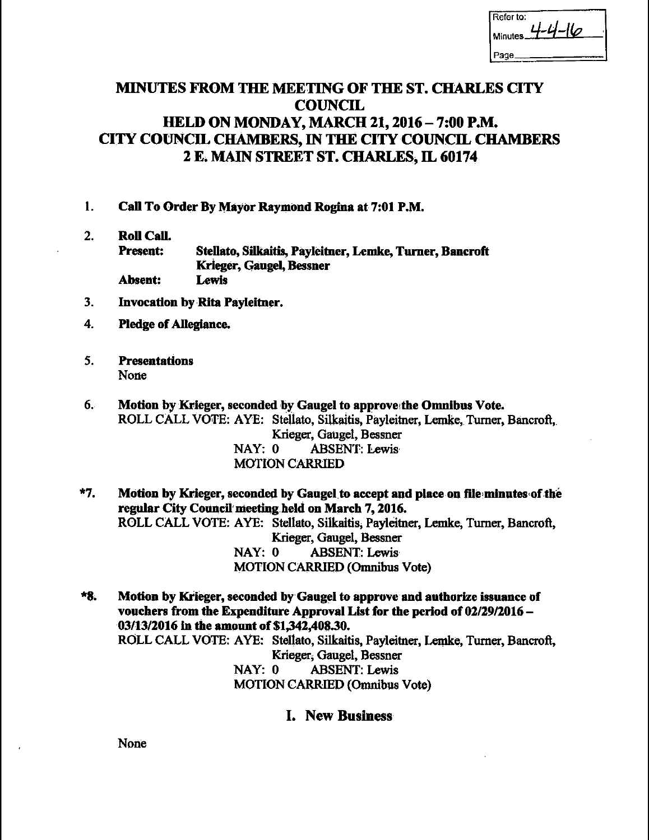| Refer to:<br>- 11<br>ھا<br>Minutes |
|------------------------------------|
| Page                               |

# MINUTES FROM THE MEETING OF THE ST. CHARLES CITY **COUNCIL** HELD ON MONDAY, MARCH 21, 2016—7:00 P.M. CITY COUNCIL CHAMBERS, IN THE CITY COUNCIL CHAMBERS <sup>2</sup> E. MAIN STREET ST. CHARLES, IL 60174

- 1. Call To Order By Mayor Raymond Rogina at 7:01 P.M.
- 2. Roll Call. Present: Stellato, Silkaitis, Payleitner, Lemke, Turner, Bancroft Krieger, Gaugel, Bessner Absent: Lewis
- 3. Invocation by Rita Payleitner.
- 4. Pledge of Allegiance.
- 5. Presentations None
- 6. Motion by Krieger, seconded by Gaugel to approve the Omnibus Vote. ROLL CALL VOTE: AYE: Stellato, Silkatis, Payleitner, Lemke, Turner, Bancroft,. Krieger, Gaugel, Bessner NAY: 0 ABSENT: Lewis MOTION CARRIED
- \*7. Motion by Krieger, seconded by Gaugel to accept and place on file minutes of the regular City Council'meeting held on March 7, 2016. ROLL CALL VOTE: AYE: Stellato, Silkaitis, Payleitner, Lemke, Turner, Bancroft, Krieger, Gaugel, Bessner NAY: 0 ABSENT: Lewis MOTION CARRIED( Omnibus Vote)
- 8. Motion by Krieger, seconded by,Gangel to approve and authorize issuance of vouchers from the Expenditure Approval List for the period of 02/29/2016— 03/13/2016 in the amount of \$1,342,408.30. ROLL CALL VOTE: AYE: Stellato, Silkaitis, Payleitner, Lemke, Turner, Bancroft, Krieger; Gaugel, Bessner NAY: 0 ABSENT: Lewis MOTION CARRIED (Omnibus Vote)
	- I. New Business

None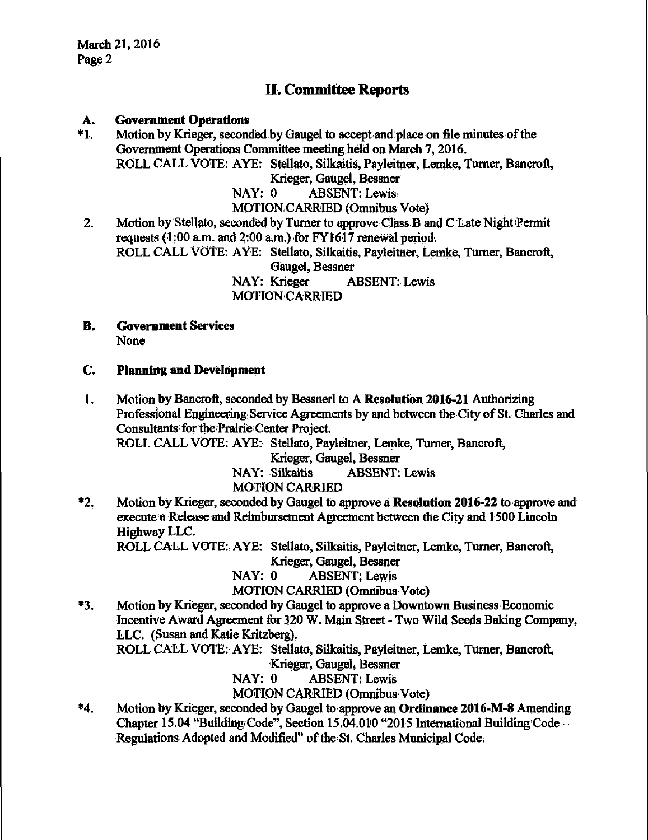# U. Committee Reports

### A. Government Operations

\*1. Motion by Krieger, seconded by Gaugel to accept and place on file minutes of the Government Operations Committee meeting held on March 7, 2016. ROLL CALL VOTE: AYE: Stellato, Silkaitis, Payleitner, Lemke, Turner, Bancroft, Krieger, Gaugel, Bessner NAY: 0 ABSENT: Lewis!

MOTION,CARRIED( Omnibus Vote)

2. Motion by Stellato, seconded by Turner to approve Class.B and C Late Night Permit requests (1:00 a.m. and 2:00 a.m.) for FY1617 renewal period. ROLL CALL VOTE: AYE: Stellato, Silkaitis, Payleitner, Lemke, Turner, Bancroft,

Gaugel, Bessner NAY: Krieger ABSENT: Lewis MOTION,CARRIED

#### B. Government Services None

#### C. Planning and Development

1. Motion by Bancroft, seconded by Bessnerl to A Resolution 2016-21 Authorizing Professional Engineering Service Agreements by and between the-City of St. Charles and Consultants for the Prairie Center Project.

ROLL CALL VOTE: AYE: Stellato, Payleitner, Lemke, Turner, Bancroft;

Krieger, Gaugel, Bessner

NAY: Silkaitis ABSENT: Lewis

# MOTION CARRIED

\*2. Motion by Krieger, seconded by Gaugel to approve a Resolution 2016-22 to approve and execute a Release and Reimbursement Agreement between the City and 1500 Lincoln Highway LLC.

ROLL CALL VOTE: AYE: Stellato, Silkaitis, Payleitner, Lemke, Turner, Bancroft,

Krieger, Gaugel, Bessner

NAY: 0 ABSENT: Lewis

MOTION CARRIED (Omnibus Vote)

3. Motion by Krieger, seconded by Gaugel to approve a Downtown Business Economic Incentive Award Agreement for 320 W. Main Street - Two Wild Seeds Baking Company, LLC. ( Susan and Katie Kritzberg),

ROLL CALL VOTE: AYE: Stellato, Silkaitis, Payleitner, Lemke, Turner, Bancroft,

Krieger, Gaugel, Bessner

NAY: 0 ABSENT: Lewis

MOTION CARRIED (Omnibus Vote)

4. Motion by Krieger, seconded by Gaugel to approve an Ordinance 2016•M-8 Amending Chapter 15.04 "Building Code", Section 15.04.010 "2015 International Building Code -Regulations Adopted and Modified" of the St. Charles Municipal Code.